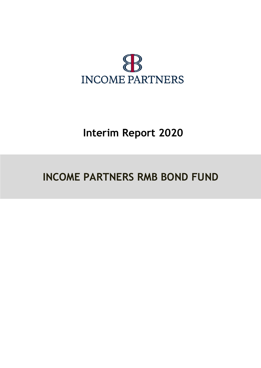

# **Interim Report 2020**

# **INCOME PARTNERS RMB BOND FUND**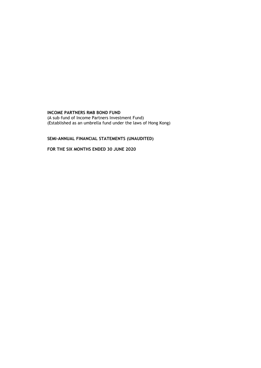(A sub–fund of Income Partners Investment Fund) (Established as an umbrella fund under the laws of Hong Kong)

# **SEMI-ANNUAL FINANCIAL STATEMENTS (UNAUDITED)**

**FOR THE SIX MONTHS ENDED 30 JUNE 2020**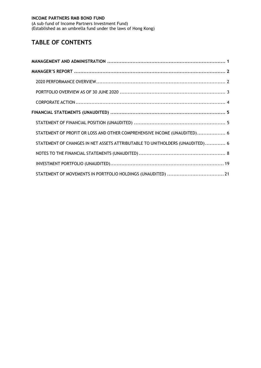(A sub–fund of Income Partners Investment Fund) (Established as an umbrella fund under the laws of Hong Kong)

# **TABLE OF CONTENTS**

| STATEMENT OF PROFIT OR LOSS AND OTHER COMPREHENSIVE INCOME (UNAUDITED) 6     |  |
|------------------------------------------------------------------------------|--|
| STATEMENT OF CHANGES IN NET ASSETS ATTRIBUTABLE TO UNITHOLDERS (UNAUDITED) 6 |  |
|                                                                              |  |
|                                                                              |  |
|                                                                              |  |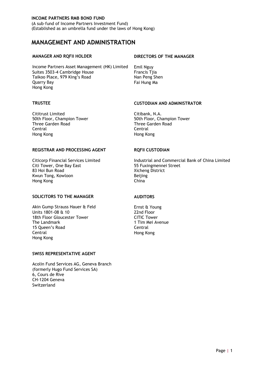(A sub–fund of Income Partners Investment Fund) (Established as an umbrella fund under the laws of Hong Kong)

# <span id="page-3-0"></span>**MANAGEMENT AND ADMINISTRATION**

Income Partners Asset Management (HK) Limited Emil Nguy Suites 3503-4 Cambridge House Francis Tjia Taikoo Place, 979 King's Road Nan Peng Shen Quarry Bay **Fai Hung Ma** Hong Kong

Cititrust Limited Citibank, N.A. Three Garden Road Three Garden Road Central Central Hong Kong Hong Kong

#### **REGISTRAR AND PROCESSING AGENT RQFII CUSTODIAN**

Citi Tower, One Bay East 1988 1988 1997 55 Fuxingmennei Street 83 Hoi Bun Road Xicheng District Kwun Tong, Kowloon Beijing Hong Kong **China** 

#### **SOLICITORS TO THE MANAGER AUDITORS**

Akin Gump Strauss Hauer & Feld Ernst & Young Units 1801-08 & 10 22nd Floor 18th Floor Gloucester Tower **CITIC Tower**<br>The Landmark CITIC Tower 1 Tim Mei Av 15 Queen's Road Central Central Hong Kong Hong Kong

#### **SWISS REPRESENTATIVE AGENT**

Acolin Fund Services AG, Geneva Branch (formerly Hugo Fund Services SA) 6, Cours de Rive CH-1204 Geneva Switzerland

#### **MANAGER AND RQFII HOLDER DIRECTORS OF THE MANAGER**

#### **TRUSTEE CUSTODIAN AND ADMINISTRATOR**

50th Floor, Champion Tower **50th Floor, Champion Tower** 

Citicorp Financial Services Limited Industrial and Commercial Bank of China Limited

1 Tim Mei Avenue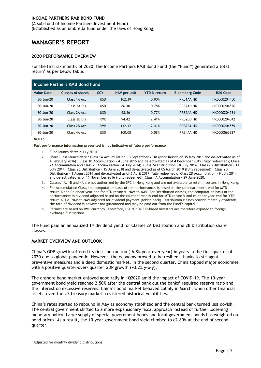(A sub–fund of Income Partners Investment Fund) (Established as an umbrella fund under the laws of Hong Kong)

# <span id="page-4-0"></span>**MANAGER'S REPORT**

#### <span id="page-4-1"></span>**2020 PERFORMANCE OVERVIEW**

For the first six months of 2020, the Income Partners RMB Bond Fund (the "Fund") generated a total return<sup>1</sup> as per below table:

|                     | Income Partners RMB Bond Fund |            |              |                     |                       |                  |
|---------------------|-------------------------------|------------|--------------|---------------------|-----------------------|------------------|
| <b>Value Date</b>   | Classes of shares             | <b>CCY</b> | NAV per unit | <b>YTD % return</b> | <b>Bloomberg Code</b> | <b>ISIN Code</b> |
| 30-Jun-20           | Class 1A Acc                  | <b>USD</b> | 102.39       | 0.90%               | <b>IPRB1AA HK</b>     | HK0000204450     |
| $30 - \frac{1}{20}$ | Class 2A Dis                  | <b>USD</b> | 86.10        | 0.78%               | <b>IPRB2AD HK</b>     | HK0000204526     |
| 30-Jun-20           | Class 2A Acc                  | <b>USD</b> | 98.36        | 0.77%               | <b>IPRB2AA HK</b>     | HK0000204534     |
| 30-Jun-20           | Class 2B Dis                  | <b>RMB</b> | 94.42        | 2.41%               | <b>IPRB2BD HK</b>     | HK0000204542     |
| 30-Jun-20           | Class 2B Acc                  | <b>RMB</b> | 112.12       | 2.41%               | <b>IPRB2BA HK</b>     | HK0000204559     |
| 30-Jun-20           | Class 4A Acc                  | <b>USD</b> | 100.08       | 0.08%               | <b>IPRB4AA HK</b>     | HK0000563327     |

#### **NOTE:**

**Past performance information presented is not indicative of future performance**

- 1. Fund launch date: 2 July 2014
- 2. Share Class launch date : Class 1A Accumulation 3 September 2018 (prior launch on 15 May 2015 and de-activated as of 4 February 2016); Class 1B Accumulation - 4 June 2015 and de-activated as of 4 December 2019 (fully redeemed); Class 2A Accumulation and Class 2B Accumulation – 4 July 2014; Class 2A Distribution – 8 July 2014; Class 2B Distribution – 11 July 2014; Class 2C Distribution – 15 June 2018 and de-activated as of 05 March 2019 (fully redeemed); Class 2D Distribution - 1 August 2014 and de-activated as of 6 April 2017 (fully redeemed); Class 2D Accumulation - 9 July 2014 and de-activated as of 11 November 2016 (fully redeemed); Class 4A Accumulation - 29 June 2020.
- 3. Classes 1A, 1B and 4A are not authorized by the SFC in Hong Kong and are not available to retail investors in Hong Kong.
- 4. For Accumulation Class, the computation basis of the performances is based on the calendar month-end for MTD return % and Calendar year-end for YTD return %, NAV-to-NAV. For Distribution classes, the computation basis of the performances is dividend adjusted based on the calendar month-end for MTD return % and calendar year-end for YTD return %, i.e. NAV-to-NAV adjusted for dividend payment (added back). Distribution classes provide monthly dividends, the rate of dividend is however not guaranteed and may be paid out from the Fund's capital.
- 5. Returns are based on RMB currency. Therefore, USD/HKD/EUR-based investors are therefore exposed to foreign exchange fluctuations.

The Fund paid an annualized 1% dividend yield for Classes 2A Distribution and 2B Distribution share classes.

#### **MARKET OVERVIEW AND OUTLOOK**

China's GDP growth suffered its first contraction (-6.8% year-over-year) in years in the first quarter of 2020 due to global pandemic. However, the economy proved to be resilient thanks to stringent preventive measures and a deep domestic market. In the second quarter, China topped major economies with a positive quarter-over- quarter GDP growth  $(+3.2\%$  y-o-y).

The onshore bond market enjoyed good rally in 1Q2020 amid the impact of COVID-19. The 10-year government bond yield reached 2.50% after the central bank cut the banks' required reserve ratio and the interest on excessive reserves. China's bond market behaved calmly in March, when other financial assets, even the US treasury market, registered historical volatilities.

China's rates started to rebound in May as economy stabilized and the central bank turned less dovish. The central government shifted to a more expansionary fiscal approach instead of further loosening monetary policy. Large supply of special government bonds and local government bonds has weighted on bond prices. As a result, the 10-year government bond yield climbed to c2.80% at the end of second quarter.

<sup>-</sup><sup>1</sup> Adjusted for monthly dividend distributions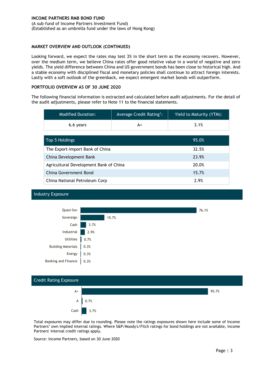(A sub–fund of Income Partners Investment Fund) (Established as an umbrella fund under the laws of Hong Kong)

#### **MARKET OVERVIEW AND OUTLOOK (CONTINUED)**

Looking forward, we expect the rates may test 3% in the short term as the economy recovers. However, over the medium term, we believe China rates offer good relative value in a world of negative and zero yields. The yield difference between China and US government bonds has been close to historical high. And a stable economy with disciplined fiscal and monetary policies shall continue to attract foreign interests. Lastly with a soft outlook of the greenback, we expect emergent market bonds will outperform.

#### <span id="page-5-0"></span>**PORTFOLIO OVERVIEW AS OF 30 JUNE 2020**

The following financial information is extracted and calculated before audit adjustments. For the detail of the audit adjustments, please refer to Note 11 to the financial statements.

| Average Credit Rating <sup>1</sup> :<br><b>Modified Duration:</b> |       | Yield to Maturity (YTM): |  |  |
|-------------------------------------------------------------------|-------|--------------------------|--|--|
| 6.6 years<br>A+                                                   |       | 3.1%                     |  |  |
|                                                                   |       |                          |  |  |
| Top 5 Holdings                                                    | 95.0% |                          |  |  |
| The Export-Import Bank of China                                   |       | 32.5%                    |  |  |
| China Development Bank                                            |       | 23.9%                    |  |  |
| Agricultural Development Bank of China                            | 20.0% |                          |  |  |
| China Government Bond                                             | 15.7% |                          |  |  |
| China National Petroleum Corp                                     | 2.9%  |                          |  |  |

#### Industry Exposure





Total exposures may differ due to rounding. Please note the ratings exposures shown here include some of Income Partners' own implied internal ratings. Where S&P/Moody's/Fitch ratings for bond holdings are not available, Income Partners' internal credit ratings apply.

Source: Income Partners, based on 30 June 2020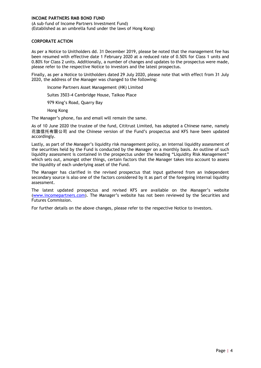(A sub–fund of Income Partners Investment Fund) (Established as an umbrella fund under the laws of Hong Kong)

#### <span id="page-6-0"></span>**CORPORATE ACTION**

As per a Notice to Unitholders dd. 31 December 2019, please be noted that the management fee has been resumed with effective date 1 February 2020 at a reduced rate of 0.50% for Class 1 units and 0.80% for Class 2 units. Additionally, a number of changes and updates to the prospectus were made, please refer to the respective Notice to investors and the latest prospectus.

Finally, as per a Notice to Unitholders dated 29 July 2020, please note that with effect from 31 July 2020, the address of the Manager was changed to the following:

Income Partners Asset Management (HK) Limited

Suites 3503-4 Cambridge House, Taikoo Place

979 King's Road, Quarry Bay

Hong Kong

The Manager's phone, fax and email will remain the same.

As of 10 June 2020 the trustee of the fund, Cititrust Limited, has adopted a Chinese name, namely 花旗信托有限公司 and the Chinese version of the Fund's prospectus and KFS have been updated accordingly.

Lastly, as part of the Manager's liquidity risk management policy, an internal liquidity assessment of the securities held by the Fund is conducted by the Manager on a monthly basis. An outline of such liquidity assessment is contained in the prospectus under the heading "Liquidity Risk Management" which sets out, amongst other things, certain factors that the Manager takes into account to assess the liquidity of each underlying asset of the Fund.

The Manager has clarified in the revised prospectus that input gathered from an independent secondary source is also one of the factors considered by it as part of the foregoing internal liquidity assessment.

The latest updated prospectus and revised KFS are available on the Manager's website [\(www.incomepartners.com\)](http://www.incomepartners.com/). The Manager's website has not been reviewed by the Securities and Futures Commission.

For further details on the above changes, please refer to the respective Notice to investors.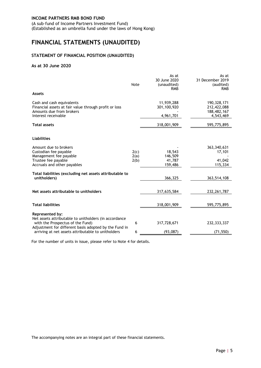(A sub–fund of Income Partners Investment Fund) (Established as an umbrella fund under the laws of Hong Kong)

# <span id="page-7-0"></span>**FINANCIAL STATEMENTS (UNAUDITED)**

#### <span id="page-7-1"></span>**STATEMENT OF FINANCIAL POSITION (UNAUDITED)**

#### **As at 30 June 2020**

|                                                                                                                                                                       | Note                 | As at<br>30 June 2020<br>(unaudited)<br><b>RMB</b> | As at<br>31 December 2019<br>(audited)<br><b>RMB</b>     |
|-----------------------------------------------------------------------------------------------------------------------------------------------------------------------|----------------------|----------------------------------------------------|----------------------------------------------------------|
| <b>Assets</b>                                                                                                                                                         |                      |                                                    |                                                          |
| Cash and cash equivalents<br>Financial assets at fair value through profit or loss<br>Amounts due from brokers<br>Interest receivable                                 |                      | 11,939,288<br>301,100,920<br>4,961,701             | 190, 328, 171<br>212,422,088<br>188,482,167<br>4,543,469 |
| <b>Total assets</b>                                                                                                                                                   |                      | 318,001,909                                        | 595,775,895                                              |
| <b>Liabilities</b>                                                                                                                                                    |                      |                                                    |                                                          |
| Amount due to brokers<br>Custodian fee payable<br>Management fee payable<br>Trustee fee payable<br>Accruals and other payables                                        | 2(c)<br>2(a)<br>2(b) | 18,543<br>146,509<br>41,787<br>159,486             | 363, 340, 631<br>17,101<br>41,042<br>115,334             |
| Total liabilities (excluding net assets attributable to<br>unitholders)                                                                                               |                      | 366,325                                            | 363,514,108                                              |
| Net assets attributable to unitholders                                                                                                                                |                      | 317,635,584                                        | 232, 261, 787                                            |
| <b>Total liabilities</b>                                                                                                                                              |                      | 318,001,909                                        | 595,775,895                                              |
| Represented by:<br>Net assets attributable to unitholders (in accordance<br>with the Prospectus of the Fund)<br>Adjustment for different basis adopted by the Fund in | 6                    | 317,728,671                                        | 232, 333, 337                                            |
| arriving at net assets attributable to unitholders                                                                                                                    | 6                    | (93,087)                                           | (71, 550)                                                |

For the number of units in issue, please refer to Note 4 for details.

The accompanying notes are an integral part of these financial statements.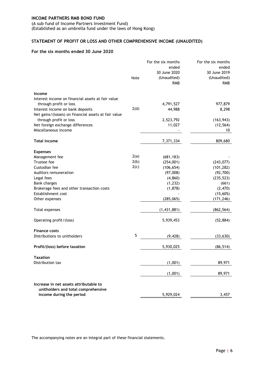(A sub–fund of Income Partners Investment Fund) (Established as an umbrella fund under the laws of Hong Kong)

# <span id="page-8-0"></span>**STATEMENT OF PROFIT OR LOSS AND OTHER COMPREHENSIVE INCOME (UNAUDITED)**

#### **For the six months ended 30 June 2020**

|                                                      |      | For the six months | For the six months |
|------------------------------------------------------|------|--------------------|--------------------|
|                                                      |      | ended              | ended              |
|                                                      |      | 30 June 2020       | 30 June 2019       |
|                                                      | Note | (Unaudited)        | (Unaudited)        |
|                                                      |      | <b>RMB</b>         | <b>RMB</b>         |
| Income                                               |      |                    |                    |
| Interest income on financial assets at fair value    |      |                    |                    |
| through profit or loss                               |      | 4,791,527          | 977,879            |
| Interest income on bank deposits                     | 2(d) | 44,988             | 8,298              |
| Net gains/(losses) on financial assets at fair value |      |                    |                    |
| through profit or loss                               |      | 2,523,792          | (163, 943)         |
| Net foreign exchange differences                     |      | 11,027             | (12, 564)          |
| Miscellaneous income                                 |      |                    | 10                 |
| <b>Total income</b>                                  |      | 7,371,334          | 809,680            |
| <b>Expenses</b>                                      |      |                    |                    |
| Management fee                                       | 2(a) | (681, 183)         |                    |
| Trustee fee                                          | 2(b) | (254,001)          | (243, 077)         |
| Custodian fee                                        | 2(c) | (106, 654)         | (101, 282)         |
| Auditors remuneration                                |      | (97,008)           | (92, 700)          |
| Legal fees                                           |      | (4, 860)           | (235, 523)         |
| <b>Bank charges</b>                                  |      | (1, 232)           | (661)              |
| Brokerage fees and other transaction costs           |      | (1,878)            | (2,470)            |
| Establishment cost                                   |      |                    | (15,605)           |
| Other expenses                                       |      | (285,065)          | (171, 246)         |
| Total expenses                                       |      | (1,431,881)        | (862, 564)         |
|                                                      |      |                    |                    |
| Operating profit/(loss)                              |      | 5,939,453          | (52, 884)          |
| <b>Finance costs</b>                                 |      |                    |                    |
| Distributions to unitholders                         | 5    | (9, 428)           | (33, 630)          |
| Profit/(loss) before taxation                        |      | 5,930,025          | (86, 514)          |
| <b>Taxation</b>                                      |      |                    |                    |
| Distribution tax                                     |      | (1,001)            | 89,971             |
|                                                      |      | (1,001)            | 89,971             |
| Increase in net assets attributable to               |      |                    |                    |
| unitholders and total comprehensive                  |      |                    |                    |
| income during the period                             |      | 5,929,024          | 3,457              |

The accompanying notes are an integral part of these financial statements.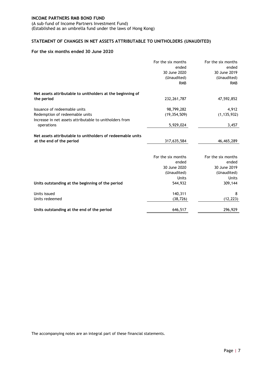(A sub–fund of Income Partners Investment Fund) (Established as an umbrella fund under the laws of Hong Kong)

# <span id="page-9-0"></span>**STATEMENT OF CHANGES IN NET ASSETS ATTRIBUTABLE TO UNITHOLDERS (UNAUDITED)**

#### **For the six months ended 30 June 2020**

|                                                            | For the six months<br>ended<br>30 June 2020<br>(Unaudited) | For the six months<br>ended<br>30 June 2019<br>(Unaudited) |
|------------------------------------------------------------|------------------------------------------------------------|------------------------------------------------------------|
|                                                            | <b>RMB</b>                                                 | <b>RMB</b>                                                 |
| Net assets attributable to unitholders at the beginning of |                                                            |                                                            |
| the period                                                 | 232, 261, 787                                              | 47,592,852                                                 |
| Issuance of redeemable units                               | 98,799,282                                                 | 4,912                                                      |
| Redemption of redeemable units                             | (19, 354, 509)                                             | (1, 135, 932)                                              |
| Increase in net assets attributable to unitholders from    |                                                            |                                                            |
| operations                                                 | 5,929,024                                                  | 3,457                                                      |
|                                                            |                                                            |                                                            |
| Net assets attributable to unitholders of redeemable units |                                                            |                                                            |
| at the end of the period                                   | 317,635,584                                                | 46,465,289                                                 |
|                                                            |                                                            |                                                            |
|                                                            | For the six months                                         | For the six months                                         |
|                                                            | ended                                                      | ended                                                      |
|                                                            | 30 June 2020                                               | 30 June 2019                                               |
|                                                            | (Unaudited)                                                | (Unaudited)                                                |
|                                                            | <b>Units</b>                                               | <b>Units</b>                                               |
| Units outstanding at the beginning of the period           | 544,932                                                    | 309,144                                                    |
| Units issued                                               | 140,311                                                    | 8                                                          |
| Units redeemed                                             | (38, 726)                                                  | (12, 223)                                                  |
|                                                            |                                                            |                                                            |
| Units outstanding at the end of the period                 | 646,517                                                    | 296,929                                                    |

The accompanying notes are an integral part of these financial statements.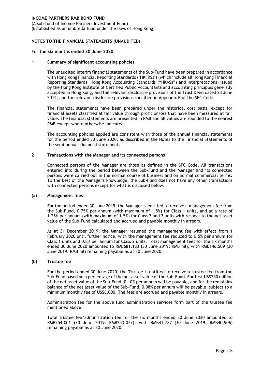(A sub–fund of Income Partners Investment Fund) (Established as an umbrella fund under the laws of Hong Kong)

#### <span id="page-10-0"></span>**NOTES TO THE FINANCIAL STATEMENTS (UNAUDITED)**

#### **For the six months ended 30 June 2020**

#### **1 Summary of significant accounting policies**

The unaudited interim financial statements of the Sub-Fund have been prepared in accordance with Hong Kong Financial Reporting Standards ("HKFRSs") (which include all Hong Kong Financial Reporting Standards, Hong Kong Accounting Standards ("HKASs") and Interpretations) issued by the Hong Kong Institute of Certified Public Accountants and accounting principles generally accepted in Hong Kong, and the relevant disclosure provisions of the Trust Deed dated 23 June 2014, and the relevant disclosure provisions specified in Appendix E of the SFC Code.

The financial statements have been prepared under the historical cost basis, except for financial assets classified at fair value through profit or loss that have been measured at fair value. The financial statements are presented in RMB and all values are rounded to the nearest RMB except where otherwise indicated.

The accounting policies applied are consistent with those of the annual financial statements for the period ended 30 June 2020, as described in the Notes to the Financial Statements of the semi-annual financial statements.

#### **2 Transactions with the Manager and its connected persons**

Connected persons of the Manager are those as defined in the SFC Code. All transactions entered into during the period between the Sub-Fund and the Manager and its connected persons were carried out in the normal course of business and on normal commercial terms. To the best of the Manager's knowledge, the Sub-Fund does not have any other transactions with connected persons except for what is disclosed below.

#### **(a) Management fees**

For the period ended 30 June 2019, the Manager is entitled to receive a management fee from the Sub-Fund, 0.75% per annum (with maximum of 1.5%) for Class 1 units, and at a rate of 1.25% per annum (with maximum of 1.5%) for Class 2 and 3 units with respect to the net asset value of the Sub-Fund calculated and accrued and payable monthly in arrears.

As at 31 December 2019, the Manager resumed the management fee with effect from 1 February 2020 until further notice, with the management fee reduced to 0.5% per annum for Class 1 units and 0.8% per annum for Class 2 units. Total management fees for the six months ended 30 June 2020 amounted to RMB681,183 (30 June 2019: RMB nil), with RMB146,509 (30 June 2019: RMB nil) remaining payable as at 30 June 2020.

#### **(b) Trustee fee**

For the period ended 30 June 2020, the Trustee is entitled to receive a trustee fee from the Sub-Fund based on a percentage of the net asset value of the Sub-Fund. For first US\$250 million of the net asset value of the Sub-Fund, 0.10% per annum will be payable, and for the remaining balance of the net asset value of the Sub-Fund, 0.08% per annum will be payable, subject to a minimum monthly fee of US\$6,000. The fees are accrued and payable monthly in arrears.

Administration fee for the above fund administration services form part of the trustee fee mentioned above.

Total trustee fee/administration fee for the six months ended 30 June 2020 amounted to RMB254,001 (30 June 2019: RMB243,077), with RMB41,787 (30 June 2019: RMB40,906) remaining payable as at 30 June 2020.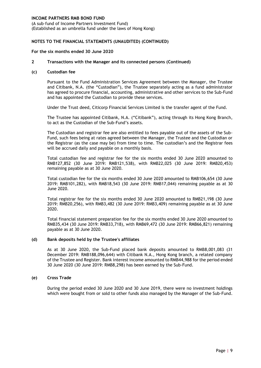(A sub–fund of Income Partners Investment Fund) (Established as an umbrella fund under the laws of Hong Kong)

#### **NOTES TO THE FINANCIAL STATEMENTS (UNAUDITED) (CONTINUED)**

#### **For the six months ended 30 June 2020**

#### **2 Transactions with the Manager and its connected persons (Continued)**

#### **(c) Custodian fee**

Pursuant to the Fund Administration Services Agreement between the Manager, the Trustee and Citibank, N.A. (the "Custodian"), the Trustee separately acting as a fund administrator has agreed to procure financial, accounting, administrative and other services to the Sub-Fund and has appointed the Custodian to provide these services.

Under the Trust deed, Citicorp Financial Services Limited is the transfer agent of the Fund.

The Trustee has appointed Citibank, N.A. ("Citibank"), acting through its Hong Kong Branch, to act as the Custodian of the Sub-Fund's assets.

The Custodian and registrar fee are also entitled to fees payable out of the assets of the Sub-Fund, such fees being at rates agreed between the Manager, the Trustee and the Custodian or the Registrar (as the case may be) from time to time. The custodian's and the Registrar fees will be accrued daily and payable on a monthly basis.

Total custodian fee and registrar fee for the six months ended 30 June 2020 amounted to RMB127,852 (30 June 2019: RMB121,538), with RMB22,025 (30 June 2019: RMB20,453) remaining payable as at 30 June 2020.

Total custodian fee for the six months ended 30 June 2020 amounted to RMB106,654 (30 June 2019: RMB101,282), with RMB18,543 (30 June 2019: RMB17,044) remaining payable as at 30 June 2020.

Total registrar fee for the six months ended 30 June 2020 amounted to RMB21,198 (30 June 2019: RMB20,256), with RMB3,482 (30 June 2019: RMB3,409) remaining payable as at 30 June 2020.

Total financial statement preparation fee for the six months ended 30 June 2020 amounted to RMB35,434 (30 June 2019: RMB33,718), with RMB69,472 (30 June 2019: RMB66,821) remaining payable as at 30 June 2020.

#### **(d) Bank deposits held by the Trustee's affiliates**

As at 30 June 2020, the Sub-Fund placed bank deposits amounted to RMB8,001,083 (31 December 2019: RMB188,096,644) with Citibank N.A., Hong Kong branch, a related company of the Trustee and Register. Bank interest income amounted to RMB44,988 for the period ended 30 June 2020 (30 June 2019: RMB8,298) has been earned by the Sub-Fund.

#### **(e) Cross Trade**

During the period ended 30 June 2020 and 30 June 2019, there were no investment holdings which were bought from or sold to other funds also managed by the Manager of the Sub-Fund.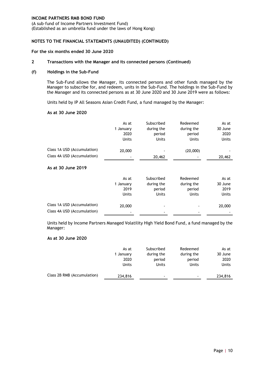(A sub–fund of Income Partners Investment Fund) (Established as an umbrella fund under the laws of Hong Kong)

#### **NOTES TO THE FINANCIAL STATEMENTS (UNAUDITED) (CONTINUED)**

#### **For the six months ended 30 June 2020**

#### **2 Transactions with the Manager and its connected persons (Continued)**

#### **(f) Holdings in the Sub-Fund**

The Sub-Fund allows the Manager, its connected persons and other funds managed by the Manager to subscribe for, and redeem, units in the Sub-Fund. The holdings in the Sub-Fund by the Manager and its connected persons as at 30 June 2020 and 30 June 2019 were as follows:

Units held by IP All Seasons Asian Credit Fund, a fund managed by the Manager:

#### **As at 30 June 2020**

|                             | As at        | Subscribed   | Redeemed     | As at        |
|-----------------------------|--------------|--------------|--------------|--------------|
|                             | 1 January    | during the   | during the   | 30 June      |
|                             | 2020         | period       | period       | 2020         |
|                             | Units        | <b>Units</b> | <b>Units</b> | <b>Units</b> |
| Class 1A USD (Accumulation) | 20,000       |              | (20,000)     |              |
| Class 4A USD (Accumulation) |              | 20,462       |              | 20,462       |
| As at 30 June 2019          |              |              |              |              |
|                             | As at        | Subscribed   | Redeemed     | As at        |
|                             | 1 January    | during the   | during the   | 30 June      |
|                             | 2019         | period       | period       | 2019         |
|                             | <b>Units</b> | <b>Units</b> | Units        | <b>Units</b> |
| Class 1A USD (Accumulation) | 20,000       |              |              | 20,000       |
| Class 4A USD (Accumulation) |              |              |              |              |

Units held by Income Partners Managed Volatility High Yield Bond Fund, a fund managed by the Manager:

#### **As at 30 June 2020**

|                             | As at        | Subscribed | Redeemed   | As at        |
|-----------------------------|--------------|------------|------------|--------------|
|                             | 1 January    | during the | during the | 30 June      |
|                             | 2020         | period     | period     | 2020         |
|                             | <b>Units</b> | Units      | Units      | <b>Units</b> |
| Class 2B RMB (Accumulation) | 234,816      | ۰          |            | 234,816      |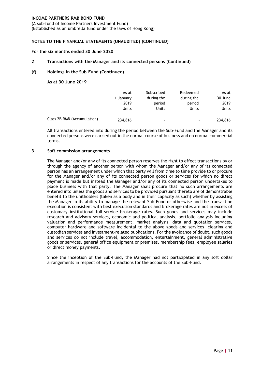(A sub–fund of Income Partners Investment Fund) (Established as an umbrella fund under the laws of Hong Kong)

#### **NOTES TO THE FINANCIAL STATEMENTS (UNAUDITED) (CONTINUED)**

#### **For the six months ended 30 June 2020**

#### **2 Transactions with the Manager and its connected persons (Continued)**

#### **(f) Holdings in the Sub-Fund (Continued)**

**As at 30 June 2019**

|                             | As at        | Subscribed | Redeemed   | As at        |
|-----------------------------|--------------|------------|------------|--------------|
|                             | 1 January    | during the | during the | 30 June      |
|                             | 2019         | period     | period     | 2019         |
|                             | <b>Units</b> | Units      | Units      | <b>Units</b> |
| Class 2B RMB (Accumulation) | 234,816      | ۰          | ۰          | 234,816      |

All transactions entered into during the period between the Sub-Fund and the Manager and its connected persons were carried out in the normal course of business and on normal commercial terms.

#### **3 Soft commission arrangements**

The Manager and/or any of its connected person reserves the right to effect transactions by or through the agency of another person with whom the Manager and/or any of its connected person has an arrangement under which that party will from time to time provide to or procure for the Manager and/or any of its connected person goods or services for which no direct payment is made but instead the Manager and/or any of its connected person undertakes to place business with that party. The Manager shall procure that no such arrangements are entered into unless the goods and services to be provided pursuant thereto are of demonstrable benefit to the unitholders (taken as a body and in their capacity as such) whether by assisting the Manager in its ability to manage the relevant Sub-Fund or otherwise and the transaction execution is consistent with best execution standards and brokerage rates are not in excess of customary institutional full-service brokerage rates. Such goods and services may include research and advisory services, economic and political analysis, portfolio analysis including valuation and performance measurement, market analysis, data and quotation services, computer hardware and software incidental to the above goods and services, clearing and custodian services and investment-related publications. For the avoidance of doubt, such goods and services do not include travel, accommodation, entertainment, general administrative goods or services, general office equipment or premises, membership fees, employee salaries or direct money payments.

Since the inception of the Sub-Fund, the Manager had not participated in any soft dollar arrangements in respect of any transactions for the accounts of the Sub-Fund.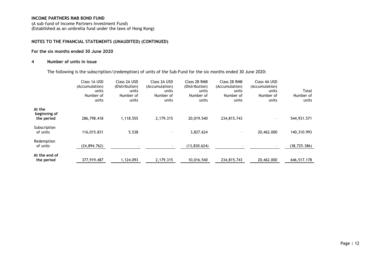(A sub–fund of Income Partners Investment Fund) (Established as an umbrella fund under the laws of Hong Kong)

#### **NOTES TO THE FINANCIAL STATEMENTS (UNAUDITED) (CONTINUED)**

#### **For the six months ended 30 June 2020**

#### **4 Number of units in issue**

The following is the subscription/(redemption) of units of the Sub-Fund for the six months ended 30 June 2020:

|                                      | Class 1A USD<br>(Accumulation)<br>units<br>Number of<br>units | Class 2A USD<br>(Distribution)<br>units<br>Number of<br>units | Class 2A USD<br>(Accumulation)<br>units<br>Number of<br>units | Class 2B RMB<br>(Distribution)<br>units<br>Number of<br>units | Class 2B RMB<br>(Accumulation)<br>units<br>Number of<br>units | Class 4A USD<br>(Accumulation)<br>units<br>Number of<br>units | Total<br>Number of<br>units |
|--------------------------------------|---------------------------------------------------------------|---------------------------------------------------------------|---------------------------------------------------------------|---------------------------------------------------------------|---------------------------------------------------------------|---------------------------------------------------------------|-----------------------------|
| At the<br>beginning of<br>the period | 286,798.418                                                   | 1,118.555                                                     | 2,179.315                                                     | 20,019.540                                                    | 234,815.743                                                   | ۰.                                                            | 544,931.571                 |
| Subscription<br>of units             | 116,015.831                                                   | 5.538                                                         |                                                               | 3,827.624                                                     | $\overline{\phantom{a}}$                                      | 20,462.000                                                    | 140,310.993                 |
| Redemption<br>of units               | (24, 894, 762)                                                |                                                               |                                                               | (13,830.624)                                                  | -                                                             | $\overline{\phantom{a}}$                                      | (38, 725.386)               |
| At the end of<br>the period          | 377,919.487                                                   | 1.124.093                                                     | 2,179.315                                                     | 10.016.540                                                    | 234,815.743                                                   | 20,462.000                                                    | 646,517.178                 |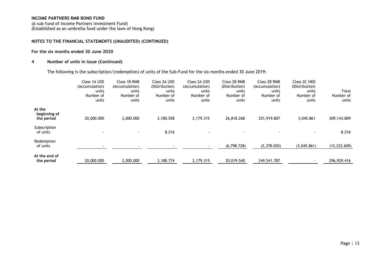(A sub–fund of Income Partners Investment Fund) (Established as an umbrella fund under the laws of Hong Kong)

#### **NOTES TO THE FINANCIAL STATEMENTS (UNAUDITED) (CONTINUED)**

#### **For the six months ended 30 June 2020**

#### **4 Number of units in issue (Continued)**

The following is the subscription/(redemption) of units of the Sub-Fund for the six months ended 30 June 2019:

|                                      | Class 1A USD<br>(Accumulation)<br>units<br>Number of<br>units | Class 1B RMB<br>(Accumulation)<br>units<br>Number of<br>units | Class 2A USD<br>(Distribution)<br>units<br>Number of<br>units | Class 2A USD<br>(Accumulation)<br>units<br>Number of<br>units | Class 2B RMB<br>(Distribution)<br>units<br>Number of<br>units | Class 2B RMB<br>(Accumulation)<br>units<br>Number of<br>units | Class 2C HKD<br>(Distribution)<br>units<br>Number of<br>units | Total<br>Number of<br>units |
|--------------------------------------|---------------------------------------------------------------|---------------------------------------------------------------|---------------------------------------------------------------|---------------------------------------------------------------|---------------------------------------------------------------|---------------------------------------------------------------|---------------------------------------------------------------|-----------------------------|
| At the<br>beginning of<br>the period | 20,000.000                                                    | 2,000.000                                                     | 3,180.558                                                     | 2,179.315                                                     | 26,818.268                                                    | 251,919.807                                                   | 3,045.861                                                     | 309,143.809                 |
| Subscription<br>of units             | $\overline{\phantom{a}}$                                      | $\blacksquare$                                                | 8.216                                                         |                                                               |                                                               | $\overline{\phantom{a}}$                                      | $\blacksquare$                                                | 8.216                       |
| Redemption<br>of units               | $\,$                                                          | $\overline{\phantom{a}}$                                      |                                                               |                                                               | (6,798.728)                                                   | (2,378.020)                                                   | (3,045.861)                                                   | (12, 222.609)               |
| At the end of<br>the period          | 20,000.000                                                    | 2,000.000                                                     | 3,188.774                                                     | 2,179.315                                                     | 20,019.540                                                    | 249,541.787                                                   |                                                               | 296,929.416                 |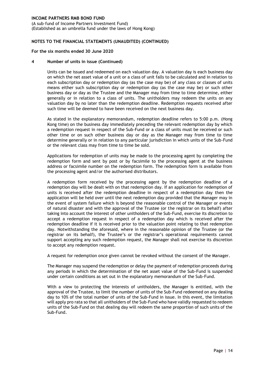(A sub–fund of Income Partners Investment Fund) (Established as an umbrella fund under the laws of Hong Kong)

#### **NOTES TO THE FINANCIAL STATEMENTS (UNAUDITED) (CONTINUED)**

#### **For the six months ended 30 June 2020**

#### **4 Number of units in issue (Continued)**

Units can be issued and redeemed on each valuation day. A valuation day is each business day on which the net asset value of a unit or a class of unit falls to be calculated and in relation to each subscription day or redemption day (as the case may be) of any class or classes of units means either such subscription day or redemption day (as the case may be) or such other business day or day as the Trustee and the Manager may from time to time determine, either generally or in relation to a class of units. The unitholders may redeem the units on any valuation day by no later than the redemption deadline. Redemption requests received after such time will be deemed to have been received on the next business day.

As stated in the explanatory memorandum, redemption deadline refers to 5:00 p.m. (Hong Kong time) on the business day immediately preceding the relevant redemption day by which a redemption request in respect of the Sub-Fund or a class of units must be received or such other time or on such other business day or day as the Manager may from time to time determine generally or in relation to any particular jurisdiction in which units of the Sub-Fund or the relevant class may from time to time be sold.

Applications for redemption of units may be made to the processing agent by completing the redemption form and sent by post or by facsimile to the processing agent at the business address or facsimile number on the redemption form. The redemption form is available from the processing agent and/or the authorised distributors.

A redemption form received by the processing agent by the redemption deadline of a redemption day will be dealt with on that redemption day. If an application for redemption of units is received after the redemption deadline in respect of a redemption day then the application will be held over until the next redemption day provided that the Manager may in the event of system failure which is beyond the reasonable control of the Manager or events of natural disaster and with the approval of the Trustee (or the registrar on its behalf) after taking into account the interest of other unitholders of the Sub-Fund, exercise its discretion to accept a redemption request in respect of a redemption day which is received after the redemption deadline if it is received prior to the valuation point relating to that redemption day. Notwithstanding the aforesaid, where in the reasonable opinion of the Trustee (or the registrar on its behalf), the Trustee's or the registrar's operational requirements cannot support accepting any such redemption request, the Manager shall not exercise its discretion to accept any redemption request.

A request for redemption once given cannot be revoked without the consent of the Manager.

The Manager may suspend the redemption or delay the payment of redemption proceeds during any periods in which the determination of the net asset value of the Sub-Fund is suspended under certain conditions as set out in the explanatory memorandum of the Sub-Fund.

With a view to protecting the interests of unitholders, the Manager is entitled, with the approval of the Trustee, to limit the number of units of the Sub-Fund redeemed on any dealing day to 10% of the total number of units of the Sub-Fund in issue. In this event, the limitation will apply pro rata so that all unitholders of the Sub-Fund who have validly requested to redeem units of the Sub-Fund on that dealing day will redeem the same proportion of such units of the Sub-Fund.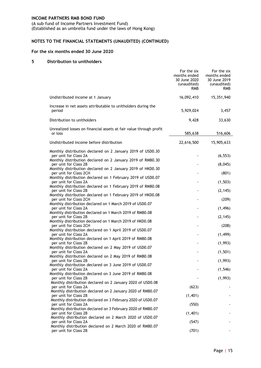(A sub–fund of Income Partners Investment Fund) (Established as an umbrella fund under the laws of Hong Kong)

### **NOTES TO THE FINANCIAL STATEMENTS (UNAUDITED) (CONTINUED)**

#### **For the six months ended 30 June 2020**

#### **5 Distribution to unitholders**

|                                                                                      | For the six<br>months ended<br>30 June 2020<br>(unaudited)<br><b>RMB</b> | For the six<br>months ended<br>30 June 2019<br>(unaudited)<br><b>RMB</b> |
|--------------------------------------------------------------------------------------|--------------------------------------------------------------------------|--------------------------------------------------------------------------|
| Undistributed income at 1 January                                                    | 16,092,410                                                               | 15,351,940                                                               |
| Increase in net assets attributable to unitholders during the<br>period              | 5,929,024                                                                | 3,457                                                                    |
| Distribution to unitholders                                                          | 9,428                                                                    | 33,630                                                                   |
| Unrealized losses on financial assets at fair value through profit<br>or loss        | 585,638                                                                  | 516,606                                                                  |
| Undistributed income before distribution                                             | 22,616,500                                                               | 15,905,633                                                               |
| Monthly distribution declared on 2 January 2019 of USD0.30<br>per unit for Class 2A  |                                                                          | (6, 553)                                                                 |
| Monthly distribution declared on 2 January 2019 of RMB0.30<br>per unit for Class 2B  |                                                                          | (8,045)                                                                  |
| Monthly distribution declared on 2 January 2019 of HKD0.30<br>per unit for Class 2CH |                                                                          | (801)                                                                    |
| Monthly distribution declared on 1 February 2019 of USD0.07                          |                                                                          |                                                                          |
| per unit for Class 2A<br>Monthly distribution declared on 1 February 2019 of RMB0.08 |                                                                          | (1, 503)                                                                 |
| per unit for Class 2B<br>Monthly distribution declared on 1 February 2019 of HKD0.08 |                                                                          | (2, 145)                                                                 |
| per unit for Class 2CH<br>Monthly distribution declared on 1 March 2019 of USD0.07   |                                                                          | (209)                                                                    |
| per unit for Class 2A                                                                |                                                                          | (1, 496)                                                                 |
| Monthly distribution declared on 1 March 2019 of RMB0.08<br>per unit for Class 2B    |                                                                          | (2, 145)                                                                 |
| Monthly distribution declared on 1 March 2019 of HKD0.08<br>per unit for Class 2CH   |                                                                          | (208)                                                                    |
| Monthly distribution declared on 1 April 2019 of USD0.07                             |                                                                          |                                                                          |
| per unit for Class 2A<br>Monthly distribution declared on 1 April 2019 of RMB0.08    |                                                                          | (1, 499)                                                                 |
| per unit for Class 2B<br>Monthly distribution declared on 2 May 2019 of USD0.07      |                                                                          | (1,993)                                                                  |
| per unit for Class 2A<br>Monthly distribution declared on 2 May 2019 of RMB0.08      |                                                                          | (1, 501)                                                                 |
| per unit for Class 2B                                                                |                                                                          | (1,993)                                                                  |
| Monthly distribution declared on 3 June 2019 of USD0.07<br>per unit for Class 2A     |                                                                          | (1, 546)                                                                 |
| Monthly distribution declared on 3 June 2019 of RMB0.08<br>per unit for Class 2B     |                                                                          | (1,993)                                                                  |
| Monthly distribution declared on 2 January 2020 of USD0.08                           |                                                                          |                                                                          |
| per unit for Class 2A<br>Monthly distribution declared on 2 January 2020 of RMB0.07  | (623)                                                                    |                                                                          |
| per unit for Class 2B<br>Monthly distribution declared on 3 February 2020 of USD0.07 | (1,401)                                                                  |                                                                          |
| per unit for Class 2A                                                                | (550)                                                                    |                                                                          |
| Monthly distribution declared on 3 February 2020 of RMB0.07<br>per unit for Class 2B | (1,401)                                                                  |                                                                          |
| Monthly distribution declared on 2 March 2020 of USD0.07<br>per unit for Class 2A    | (547)                                                                    |                                                                          |
| Monthly distribution declared on 2 March 2020 of RMB0.07<br>per unit for Class 2B    | (701)                                                                    |                                                                          |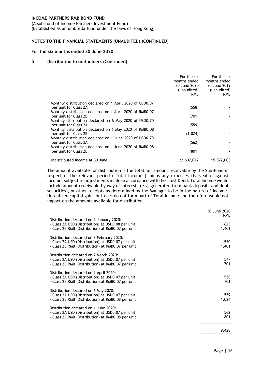(A sub–fund of Income Partners Investment Fund) (Established as an umbrella fund under the laws of Hong Kong)

#### **NOTES TO THE FINANCIAL STATEMENTS (UNAUDITED) (CONTINUED)**

#### **For the six months ended 30 June 2020**

#### **5 Distribution to unitholders (Continued)**

|                                                                                   | For the six<br>months ended<br>30 June 2020<br>(unaudited)<br><b>RMB</b> | For the six<br>months ended<br>30 June 2019<br>(unaudited)<br><b>RMB</b> |
|-----------------------------------------------------------------------------------|--------------------------------------------------------------------------|--------------------------------------------------------------------------|
| Monthly distribution declared on 1 April 2020 of USD0.07                          |                                                                          |                                                                          |
| per unit for Class 2A                                                             | (558)                                                                    |                                                                          |
| Monthly distribution declared on 1 April 2020 of RMB0.07<br>per unit for Class 2B | (701)                                                                    |                                                                          |
| Monthly distribution declared on 6 May 2020 of USD0.70                            |                                                                          |                                                                          |
| per unit for Class 2A                                                             | (559)                                                                    |                                                                          |
| Monthly distribution declared on 6 May 2020 of RMB0.08                            |                                                                          |                                                                          |
| per unit for Class 2B                                                             | (1,024)                                                                  |                                                                          |
| Monthly distribution declared on 1 June 2020 of USD0.70                           |                                                                          |                                                                          |
| per unit for Class 2A<br>Monthly distribution declared on 1 June 2020 of RMB0.08  | (562)                                                                    |                                                                          |
| per unit for Class 2B                                                             | (801)                                                                    |                                                                          |
|                                                                                   |                                                                          |                                                                          |
| Undistributed income at 30 June                                                   | 22,607,072                                                               | 15,872,003                                                               |

The amount available for distribution is the total net amount receivable by the Sub-Fund in respect of the relevant period ("Total Income") minus any expenses chargeable against income, subject to adjustments made in accordance with the Trust Deed. Total Income would include amount receivable by way of interests (e.g. generated from bank deposits and debt securities), or other receipts as determined by the Manager to be in the nature of income. Unrealized capital gains or losses do not form part of Total Income and therefore would not impact on the amounts available for distribution.

|                                                                                                                                                     | 30 June 2020<br><b>RMB</b> |
|-----------------------------------------------------------------------------------------------------------------------------------------------------|----------------------------|
| Distribution declared on 2 January 2020:<br>- Class 2A USD (Distribution) at USD0.08 per unit<br>- Class 2B RMB (Distribution) at RMB0.07 per unit  | 623<br>1,401               |
| Distribution declared on 3 February 2020:<br>- Class 2A USD (Distribution) at USD0.07 per unit<br>- Class 2B RMB (Distribution) at RMB0.07 per unit | 550<br>1,401               |
| Distribution declared on 2 March 2020:<br>- Class 2A USD (Distribution) at USD0.07 per unit<br>- Class 2B RMB (Distribution) at RMB0.07 per unit    | 547<br>701                 |
| Distribution declared on 1 April 2020:<br>- Class 2A USD (Distribution) at USD0.07 per unit<br>- Class 2B RMB (Distribution) at RMB0.07 per unit    | 558<br>701                 |
| Distribution declared on 6 May 2020:<br>- Class 2A USD (Distribution) at USD0.07 per unit<br>- Class 2B RMB (Distribution) at RMB0.08 per unit      | 559<br>1,024               |
| Distribution declared on 1 June 2020:<br>- Class 2A USD (Distribution) at USD0.07 per unit<br>- Class 2B RMB (Distribution) at RMB0.08 per unit     | 562<br>801                 |
|                                                                                                                                                     | 9,428                      |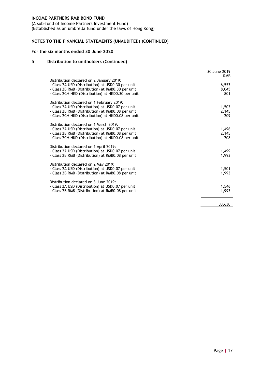(A sub–fund of Income Partners Investment Fund) (Established as an umbrella fund under the laws of Hong Kong)

### **NOTES TO THE FINANCIAL STATEMENTS (UNAUDITED) (CONTINUED)**

#### **For the six months ended 30 June 2020**

#### **5 Distribution to unitholders (Continued)**

|                                                                                                                                                                                                           | 30 June 2019<br><b>RMB</b> |
|-----------------------------------------------------------------------------------------------------------------------------------------------------------------------------------------------------------|----------------------------|
| Distribution declared on 2 January 2019:<br>- Class 2A USD (Distribution) at USD0.30 per unit<br>- Class 2B RMB (Distribution) at RMB0.30 per unit<br>- Class 2CH HKD (Distribution) at HKD0.30 per unit  | 6,553<br>8,045<br>801      |
| Distribution declared on 1 February 2019:<br>- Class 2A USD (Distribution) at USD0.07 per unit<br>- Class 2B RMB (Distribution) at RMB0.08 per unit<br>- Class 2CH HKD (Distribution) at HKD0.08 per unit | 1,503<br>2,145<br>209      |
| Distribution declared on 1 March 2019:<br>- Class 2A USD (Distribution) at USD0.07 per unit<br>- Class 2B RMB (Distribution) at RMB0.08 per unit<br>- Class 2CH HKD (Distribution) at HKD0.08 per unit    | 1,496<br>2,145<br>208      |
| Distribution declared on 1 April 2019:<br>- Class 2A USD (Distribution) at USD0.07 per unit<br>- Class 2B RMB (Distribution) at RMB0.08 per unit                                                          | 1,499<br>1.993             |
| Distribution declared on 2 May 2019:<br>- Class 2A USD (Distribution) at USD0.07 per unit<br>- Class 2B RMB (Distribution) at RMB0.08 per unit                                                            | 1,501<br>1,993             |
| Distribution declared on 3 June 2019:<br>- Class 2A USD (Distribution) at USD0.07 per unit<br>- Class 2B RMB (Distribution) at RMB0.08 per unit                                                           | 1,546<br>1,993             |
|                                                                                                                                                                                                           | 33,630                     |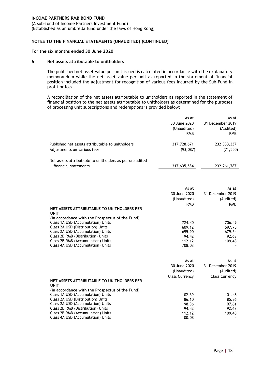(A sub–fund of Income Partners Investment Fund) (Established as an umbrella fund under the laws of Hong Kong)

#### **NOTES TO THE FINANCIAL STATEMENTS (UNAUDITED) (CONTINUED)**

#### **For the six months ended 30 June 2020**

#### **6 Net assets attributable to unitholders**

The published net asset value per unit issued is calculated in accordance with the explanatory memorandum while the net asset value per unit as reported in the statement of financial position included the adjustment for recognition of various fees incurred by the Sub-Fund in profit or loss.

A reconciliation of the net assets attributable to unitholders as reported in the statement of financial position to the net assets attributable to unitholders as determined for the purposes of processing unit subscriptions and redemptions is provided below:

|                                                                                 | As at<br>30 June 2020<br>(Unaudited)<br><b>RMB</b> | As at<br>31 December 2019<br>(Audited)<br><b>RMB</b> |
|---------------------------------------------------------------------------------|----------------------------------------------------|------------------------------------------------------|
| Published net assets attributable to unitholders<br>Adjustments on various fees | 317,728,671<br>(93,087)                            | 232, 333, 337<br>(71, 550)                           |
| Net assets attributable to unitholders as per unaudited<br>financial statements | 317,635,584                                        | 232, 261, 787                                        |

|                                                 | As at<br>30 June 2020<br>(Unaudited) | As at<br>31 December 2019<br>(Audited) |
|-------------------------------------------------|--------------------------------------|----------------------------------------|
|                                                 | <b>RMB</b>                           | <b>RMB</b>                             |
| NET ASSETS ATTRIBUTABLE TO UNITHOLDERS PER      |                                      |                                        |
| <b>UNIT</b>                                     |                                      |                                        |
| (in accordance with the Prospectus of the Fund) |                                      |                                        |
| Class 1A USD (Accumulation) Units               | 724.40                               | 706.49                                 |
| Class 2A USD (Distribution) Units               | 609.12                               | 597.75                                 |
| Class 2A USD (Accumulation) Units               | 695.90                               | 679.54                                 |
| Class 2B RMB (Distribution) Units               | 94.42                                | 92.63                                  |
| Class 2B RMB (Accumulation) Units               | 112.12                               | 109.48                                 |
| Class 4A USD (Accumulation) Units               | 708.03                               |                                        |

|                                                 | As at                 | As at                 |
|-------------------------------------------------|-----------------------|-----------------------|
|                                                 | 30 June 2020          | 31 December 2019      |
|                                                 | (Unaudited)           | (Audited)             |
|                                                 | <b>Class Currency</b> | <b>Class Currency</b> |
| NET ASSETS ATTRIBUTABLE TO UNITHOLDERS PER      |                       |                       |
| <b>UNIT</b>                                     |                       |                       |
| (in accordance with the Prospectus of the Fund) |                       |                       |
| Class 1A USD (Accumulation) Units               | 102.39                | 101.48                |
| Class 2A USD (Distribution) Units               | 86.10                 | 85.86                 |
| Class 2A USD (Accumulation) Units               | 98.36                 | 97.61                 |
| Class 2B RMB (Distribution) Units               | 94.42                 | 92.63                 |
| Class 2B RMB (Accumulation) Units               | 112.12                | 109.48                |
| Class 4A USD (Accumulation) Units               | 100.08                |                       |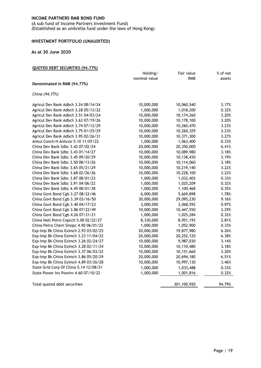(A sub–fund of Income Partners Investment Fund) (Established as an umbrella fund under the laws of Hong Kong)

#### <span id="page-21-0"></span>**INVESTMENT PORTFOLIO (UNAUDITED)**

#### **As at 30 June 2020**

#### **QUOTED DEBT SECURITIES (94.77%)**

|                                        | Holding/      | Fair value | % of net |
|----------------------------------------|---------------|------------|----------|
|                                        | nominal value | <b>RMB</b> | assets   |
| Denominated in RMB (94.77%)            |               |            |          |
| China (94.77%)                         |               |            |          |
| Agricul Dev Bank Adbch 3.24 08/14/24   | 10,000,000    | 10,060,540 | 3.17%    |
| Agricul Dev Bank Adbch 3.28 05/13/22   | 1,000,000     | 1,018,200  | 0.32%    |
| Agricul Dev Bank Adbch 3.51 04/03/24   | 10,000,000    | 10,174,260 | 3.20%    |
| Agricul Dev Bank Adbch 3.63 07/19/26   | 10,000,000    | 10,178,100 | 3.20%    |
| Agricul Dev Bank Adbch 3.74 07/12/29   | 10,000,000    | 10,260,470 | 3.23%    |
| Agricul Dev Bank Adbch 3.75 01/25/29   | 10,000,000    | 10,260,329 | 3.23%    |
| Agricul Dev Bank Adbch 3.95 02/26/31   | 10,000,000    | 10,371,300 | 3.27%    |
| Anhui Conch-H Anhcon 5.10 11/07/22     | 1,000,000     | 1,063,400  | 0.33%    |
| China Dev Bank Sdbc 3.42 07/02/24      | 20,000,000    | 20,350,000 | 6.41%    |
| China Dev Bank Sdbc 3.43 01/14/27      | 10,000,000    | 10,089,980 | 3.18%    |
| China Dev Bank Sdbc 3.45 09/20/29      | 10,000,000    | 10,138,430 | 3.19%    |
| China Dev Bank Sdbc 3.50 08/13/26      | 10,000,000    | 10,114,060 | 3.18%    |
| China Dev Bank Sdbc 3.65 05/21/29      | 10,000,000    | 10,219,140 | 3.22%    |
| China Dev Bank Sdbc 3.68 02/26/26      | 10,000,000    | 10,228,100 | 3.22%    |
| China Dev Bank Sdbc 3.87 08/01/23      | 1,000,000     | 1,032,403  | 0.33%    |
| China Dev Bank Sdbc 3.91 04/06/22      | 1,000,000     | 1,025,209  | 0.32%    |
| China Dev Bank Sdbc 4.49 08/01/38      | 1,000,000     | 1,100,468  | 0.35%    |
| China Govt Bond Cgb 3.27 08/22/46      | 6,000,000     | 5,669,898  | 1.78%    |
| China Govt Bond Cgb 3.39 03/16/50      | 30,000,000    | 29,095,230 | 9.16%    |
| China Govt Bond Cgb 3.40 04/17/23      | 3,000,000     | 3,068,592  | 0.97%    |
| China Govt Bond Cgb 3.86 07/22/49      | 10,000,000    | 10,447,550 | 3.29%    |
| China Govt Bond Cgb 4.26 07/31/21      | 1,000,000     | 1,025,284  | 0.32%    |
| China Natl Petro Cnpcch 5.00 02/22/27  | 8,330,000     | 8,951,193  | 2.81%    |
| China Petro Chem Sinopc 4.90 06/01/22  | 1,000,000     | 1,052,900  | 0.33%    |
| Exp-Imp Bk China Eximch 2.93 03/02/25  | 20,000,000    | 19,877,980 | 6.26%    |
| Exp-Imp Bk China Eximch 3.23 11/04/22  | 20,000,000    | 20,252,120 | 6.38%    |
| Exp-Imp Bk China Eximch 3.26 02/24/27  | 10,000,000    | 9,987,030  | 3.14%    |
| Exp-Imp Bk China Eximch 3.28 02/11/24  | 10,000,000    | 10,110,480 | 3.18%    |
| Exp-Imp Bk China Eximch 3.37 06/03/22  | 10,000,000    | 10,151,660 | 3.20%    |
| Exp-Imp Bk China Eximch 3.86 05/20/29  | 20,000,000    | 20,694,180 | 6.51%    |
| Exp-Imp Bk China Eximch 4.89 03/26/28  | 10,000,000    | 10,997,130 | 3.46%    |
| State Grid Corp Of China 5.14 12/08/21 | 1,000,000     | 1,033,488  | 0.33%    |
| State Power Inv Powiny 4.60 07/10/22   | 1,000,000     | 1,001,816  | 0.32%    |
|                                        |               |            |          |

Total quoted debt securities and the securities 301,100,920 94.79%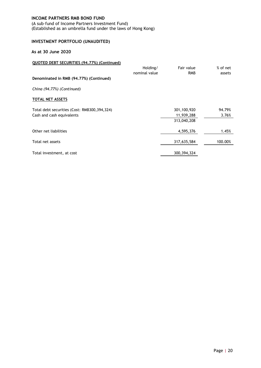(A sub–fund of Income Partners Investment Fund) (Established as an umbrella fund under the laws of Hong Kong)

# **INVESTMENT PORTFOLIO (UNAUDITED)**

### **As at 30 June 2020**

| QUOTED DEBT SECURITIES (94.77%) (Continued)  |               |               |          |
|----------------------------------------------|---------------|---------------|----------|
|                                              | Holding/      | Fair value    | % of net |
|                                              | nominal value | <b>RMB</b>    | assets   |
| Denominated in RMB (94.77%) (Continued)      |               |               |          |
| China (94.77%) (Continued)                   |               |               |          |
| <b>TOTAL NET ASSETS</b>                      |               |               |          |
| Total debt securities (Cost: RMB300,394,324) |               | 301,100,920   | 94.79%   |
| Cash and cash equivalents                    |               | 11,939,288    | 3.76%    |
|                                              |               | 313,040,208   |          |
| Other net liabilities                        |               | 4,595,376     | 1.45%    |
| Total net assets                             |               | 317,635,584   | 100.00%  |
| Total investment, at cost                    |               | 300, 394, 324 |          |